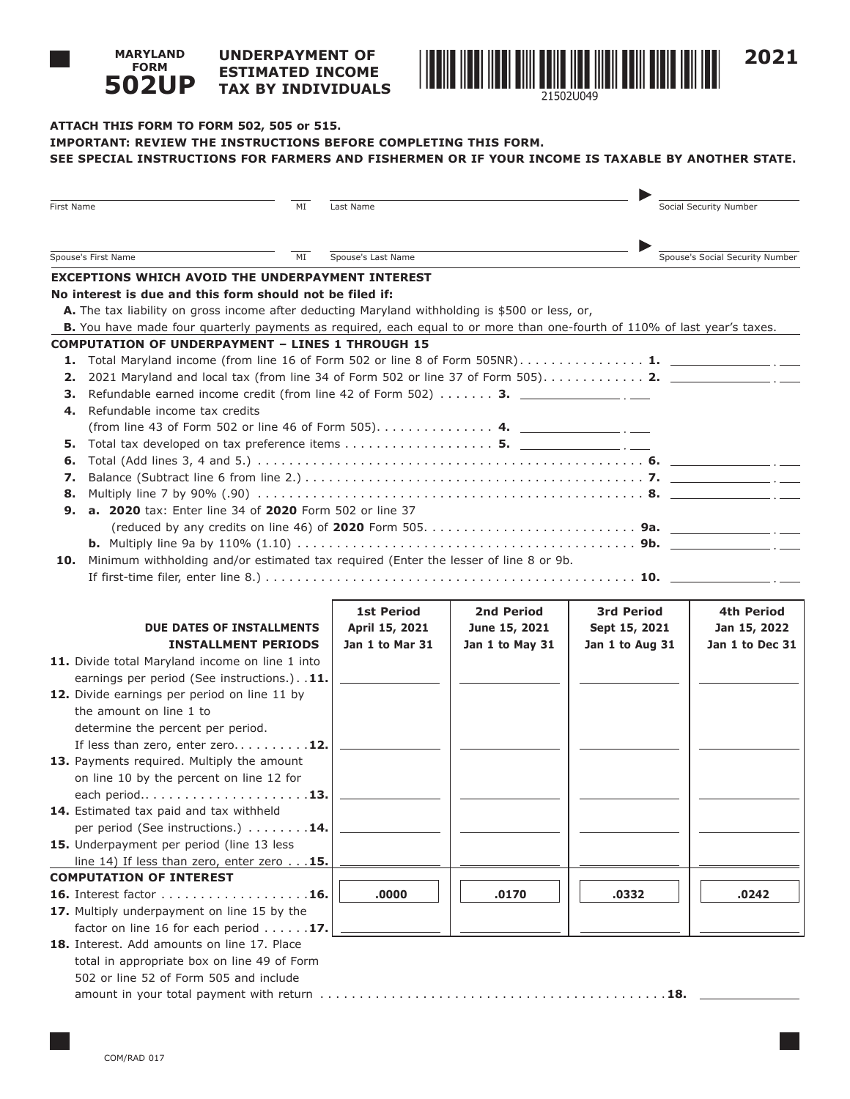#### **UNDERPAYMENT OF ESTIMATED INCOME TAX BY INDIVIDUALS 502UP**



# **ATTACH THIS FORM TO FORM 502, 505 or 515. IMPORTANT: REVIEW THE INSTRUCTIONS BEFORE COMPLETING THIS FORM. SEE SPECIAL INSTRUCTIONS FOR FARMERS AND FISHERMEN OR IF YOUR INCOME IS TAXABLE BY ANOTHER STATE.**

| First Name                                                                                  |                                                                                                                                                                                         | Last Name          |                 |                   | Social Security Number          |  |
|---------------------------------------------------------------------------------------------|-----------------------------------------------------------------------------------------------------------------------------------------------------------------------------------------|--------------------|-----------------|-------------------|---------------------------------|--|
|                                                                                             | Spouse's First Name<br>ΜI                                                                                                                                                               | Spouse's Last Name |                 |                   | Spouse's Social Security Number |  |
| <b>EXCEPTIONS WHICH AVOID THE UNDERPAYMENT INTEREST</b>                                     |                                                                                                                                                                                         |                    |                 |                   |                                 |  |
|                                                                                             | No interest is due and this form should not be filed if:<br>A. The tax liability on gross income after deducting Maryland withholding is \$500 or less, or,                             |                    |                 |                   |                                 |  |
|                                                                                             | B. You have made four quarterly payments as required, each equal to or more than one-fourth of 110% of last year's taxes.<br><b>COMPUTATION OF UNDERPAYMENT - LINES 1 THROUGH 15</b>    |                    |                 |                   |                                 |  |
| 2.                                                                                          | 1. Total Maryland income (from line 16 of Form 502 or line 8 of Form 505NR) 1. $\Box$<br>2021 Maryland and local tax (from line 34 of Form 502 or line 37 of Form 505) 2. $\frac{1}{2}$ |                    |                 |                   |                                 |  |
| з.<br>4.                                                                                    | Refundable earned income credit (from line 42 of Form 502) $\dots \dots$ 3.<br>Refundable income tax credits                                                                            |                    |                 |                   |                                 |  |
|                                                                                             | (from line 43 of Form 502 or line 46 of Form 505). 4. $\frac{4}{2}$                                                                                                                     |                    |                 |                   |                                 |  |
| 5.                                                                                          | Total tax developed on tax preference items 5. $\frac{1}{\sqrt{2}}$                                                                                                                     |                    |                 |                   |                                 |  |
| 6.<br>7.                                                                                    |                                                                                                                                                                                         |                    |                 |                   |                                 |  |
| 8.                                                                                          |                                                                                                                                                                                         |                    |                 |                   |                                 |  |
| 9.                                                                                          | <b>a. 2020</b> tax: Enter line 34 of 2020 Form 502 or line 37                                                                                                                           |                    |                 |                   |                                 |  |
|                                                                                             |                                                                                                                                                                                         |                    |                 |                   |                                 |  |
|                                                                                             |                                                                                                                                                                                         |                    |                 |                   |                                 |  |
| Minimum withholding and/or estimated tax required (Enter the lesser of line 8 or 9b.<br>10. |                                                                                                                                                                                         |                    |                 |                   |                                 |  |
|                                                                                             |                                                                                                                                                                                         |                    |                 |                   |                                 |  |
|                                                                                             |                                                                                                                                                                                         |                    |                 |                   |                                 |  |
|                                                                                             |                                                                                                                                                                                         | <b>1st Period</b>  | 2nd Period      | <b>3rd Period</b> | 4th Period                      |  |
|                                                                                             | DUE DATES OF INSTALLMENTS                                                                                                                                                               | April 15, 2021     | June 15, 2021   | Sept 15, 2021     | Jan 15, 2022                    |  |
|                                                                                             | <b>INSTALLMENT PERIODS</b>                                                                                                                                                              | Jan 1 to Mar 31    | Jan 1 to May 31 | Jan 1 to Aug 31   | Jan 1 to Dec 31                 |  |
|                                                                                             | 11. Divide total Maryland income on line 1 into<br>earnings per period (See instructions.). . 11.                                                                                       |                    |                 |                   |                                 |  |
|                                                                                             | 12. Divide earnings per period on line 11 by                                                                                                                                            |                    |                 |                   |                                 |  |
|                                                                                             | the amount on line 1 to                                                                                                                                                                 |                    |                 |                   |                                 |  |
|                                                                                             | determine the percent per period.                                                                                                                                                       |                    |                 |                   |                                 |  |
|                                                                                             | If less than zero, enter zero 12.                                                                                                                                                       |                    |                 |                   |                                 |  |
|                                                                                             | 13. Payments required. Multiply the amount                                                                                                                                              |                    |                 |                   |                                 |  |
|                                                                                             | on line 10 by the percent on line 12 for                                                                                                                                                |                    |                 |                   |                                 |  |
|                                                                                             | each period13.                                                                                                                                                                          |                    |                 |                   |                                 |  |
|                                                                                             | 14. Estimated tax paid and tax withheld                                                                                                                                                 |                    |                 |                   |                                 |  |
|                                                                                             | per period (See instructions.) 14.                                                                                                                                                      |                    |                 |                   |                                 |  |
|                                                                                             | 15. Underpayment per period (line 13 less                                                                                                                                               |                    |                 |                   |                                 |  |
|                                                                                             | line 14) If less than zero, enter zero 15.                                                                                                                                              |                    |                 |                   |                                 |  |
|                                                                                             | <b>COMPUTATION OF INTEREST</b>                                                                                                                                                          |                    |                 |                   |                                 |  |
|                                                                                             | 16. Interest factor 16.<br>17. Multiply underpayment on line 15 by the                                                                                                                  | .0000              | .0170           | .0332             | .0242                           |  |
|                                                                                             | factor on line 16 for each period $\ldots \ldots$ 17.                                                                                                                                   |                    |                 |                   |                                 |  |
|                                                                                             | 18. Interest. Add amounts on line 17. Place                                                                                                                                             |                    |                 |                   |                                 |  |
|                                                                                             | total in appropriate box on line 49 of Form                                                                                                                                             |                    |                 |                   |                                 |  |
|                                                                                             | 502 or line 52 of Form 505 and include                                                                                                                                                  |                    |                 |                   |                                 |  |
|                                                                                             |                                                                                                                                                                                         |                    |                 |                   |                                 |  |